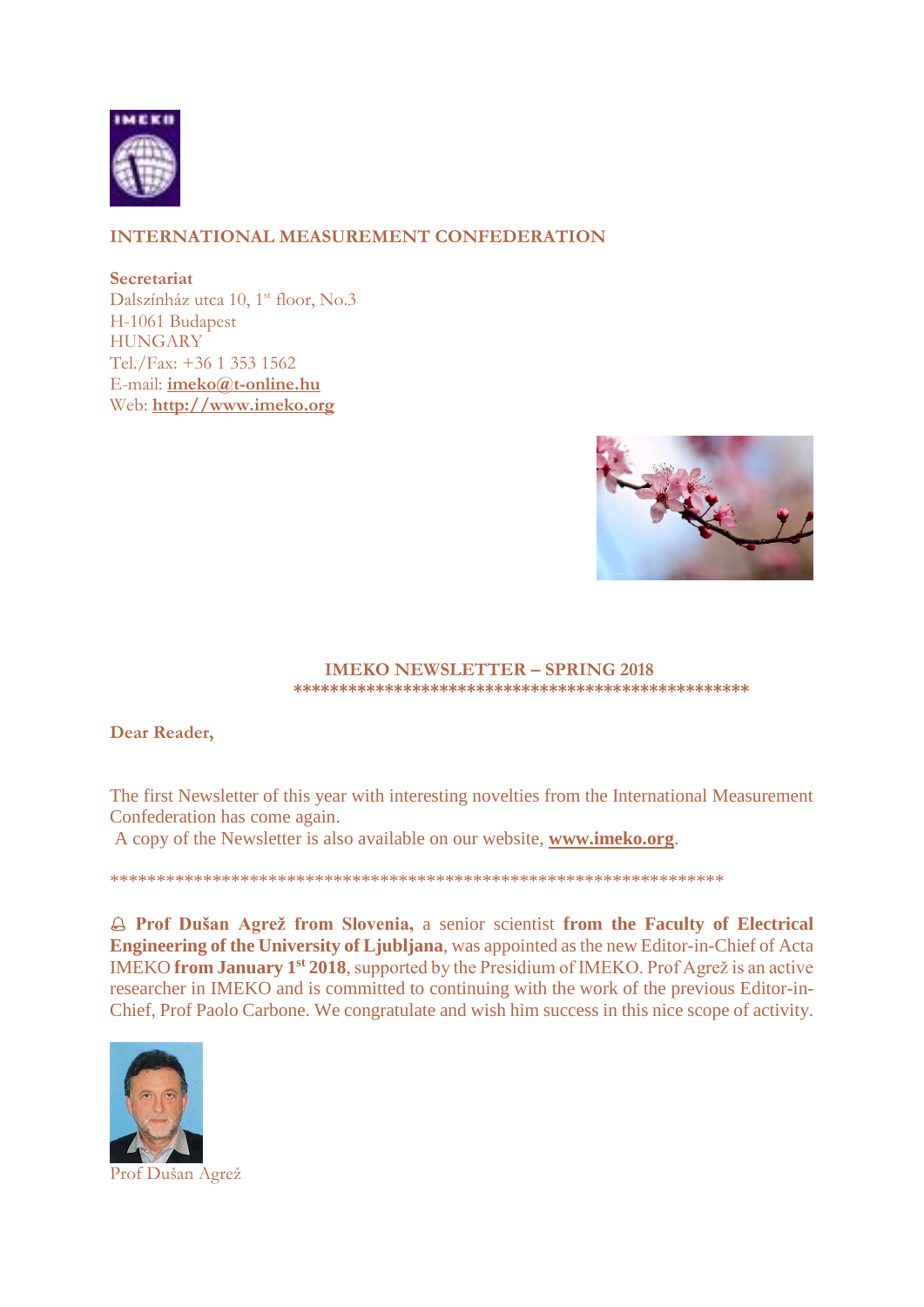

## **INTERNATIONAL MEASUREMENT CONFEDERATION**

**Secretariat** Dalszínház utca 10, 1st floor, No.3 H-1061 Budapest **HUNGARY** Tel./Fax: +36 1 353 1562 E-mail: **[imeko@t-online.hu](mailto:imeko@t-online.hu)** Web: **[http://www.imeko.org](http://www.imeko.org/)**



#### **IMEKO NEWSLETTER – SPRING 2018 \*\*\*\*\*\*\*\*\*\*\*\*\*\*\*\*\*\*\*\*\*\*\*\*\*\*\*\*\*\*\*\*\*\*\*\*\*\*\*\*\*\*\*\*\*\*\*\*\*\***

### **Dear Reader,**

The first Newsletter of this year with interesting novelties from the International Measurement Confederation has come again.

A copy of the Newsletter is also available on our website, **[www.imeko.org](http://www.imeko.org/)**.

\*\*\*\*\*\*\*\*\*\*\*\*\*\*\*\*\*\*\*\*\*\*\*\*\*\*\*\*\*\*\*\*\*\*\*\*\*\*\*\*\*\*\*\*\*\*\*\*\*\*\*\*\*\*\*\*\*\*\*\*\*\*\*\*\*\*

 **Prof Dušan Agrež from Slovenia,** a senior scientist **from the Faculty of Electrical Engineering of the University of Ljubljana**, was appointed as the new Editor-in-Chief of Acta IMEKO from January 1<sup>st</sup> 2018, supported by the Presidium of IMEKO. Prof Agrež is an active researcher in IMEKO and is committed to continuing with the work of the previous Editor-in-Chief, Prof Paolo Carbone. We congratulate and wish him success in this nice scope of activity.



Prof Dušan Agrež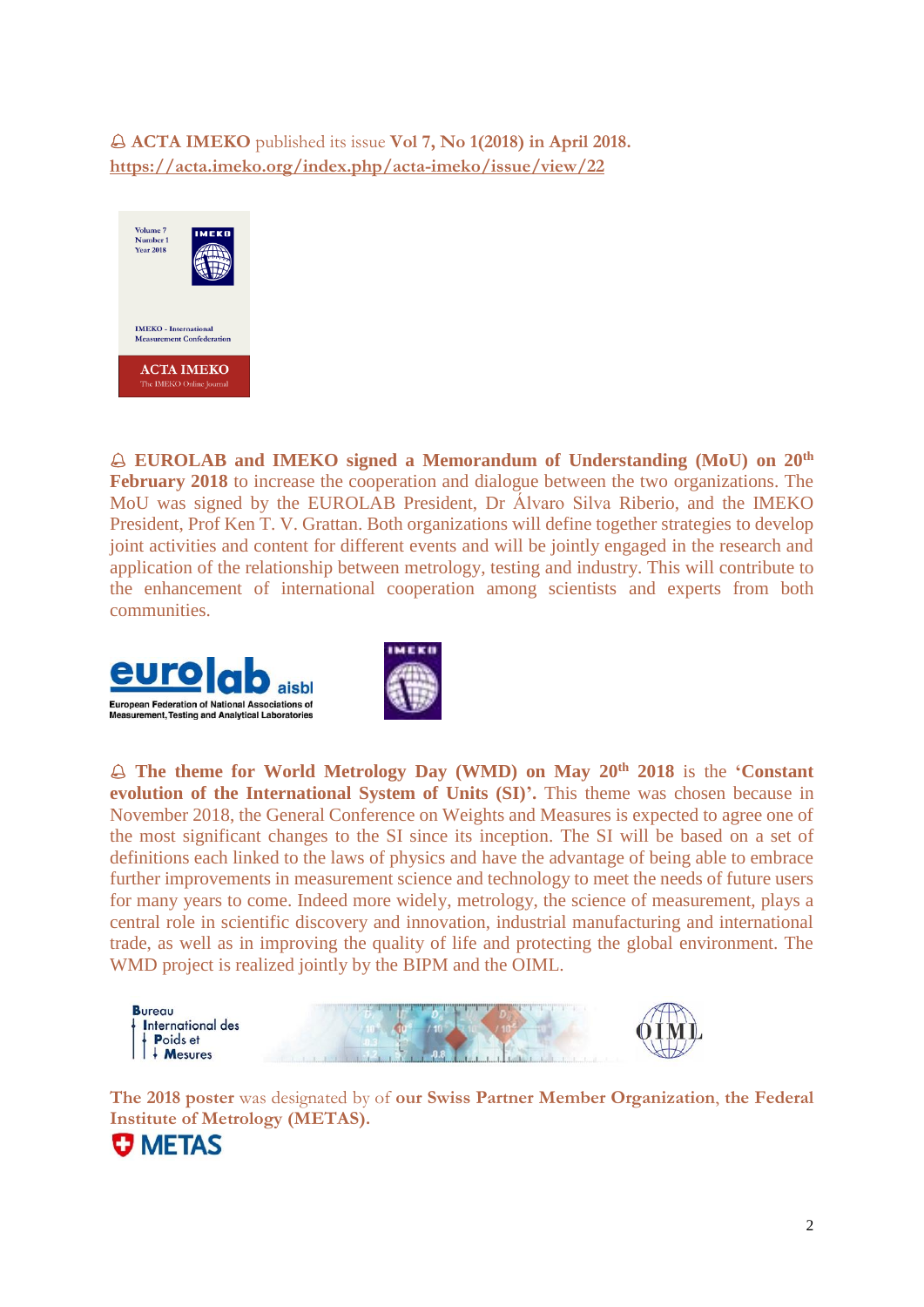**ACTA IMEKO** published its issue **Vol 7, No 1(2018) in April 2018. <https://acta.imeko.org/index.php/acta-imeko/issue/view/22>**



 **EUROLAB and IMEKO signed a Memorandum of Understanding (MoU) on 20th February 2018** to increase the cooperation and dialogue between the two organizations. The MoU was signed by the EUROLAB President, Dr Álvaro Silva Riberio, and the IMEKO President, Prof Ken T. V. Grattan. Both organizations will define together strategies to develop joint activities and content for different events and will be jointly engaged in the research and application of the relationship between metrology, testing and industry. This will contribute to the enhancement of international cooperation among scientists and experts from both communities.





 **The theme for World Metrology Day (WMD) on May 20th 2018** is the **'Constant evolution of the International System of Units (SI)'.** This theme was chosen because in November 2018, the General Conference on Weights and Measures is expected to agree one of the most significant changes to the SI since its inception. The SI will be based on a set of definitions each linked to the laws of physics and have the advantage of being able to embrace further improvements in measurement science and technology to meet the needs of future users for many years to come. Indeed more widely, metrology, the science of measurement, plays a central role in scientific discovery and innovation, industrial manufacturing and international trade, as well as in improving the quality of life and protecting the global environment. The WMD project is realized jointly by the BIPM and the OIML.



**The 2018 poster** was designated by of **our Swiss Partner Member Organization**, **the Federal Institute of Metrology (METAS).**

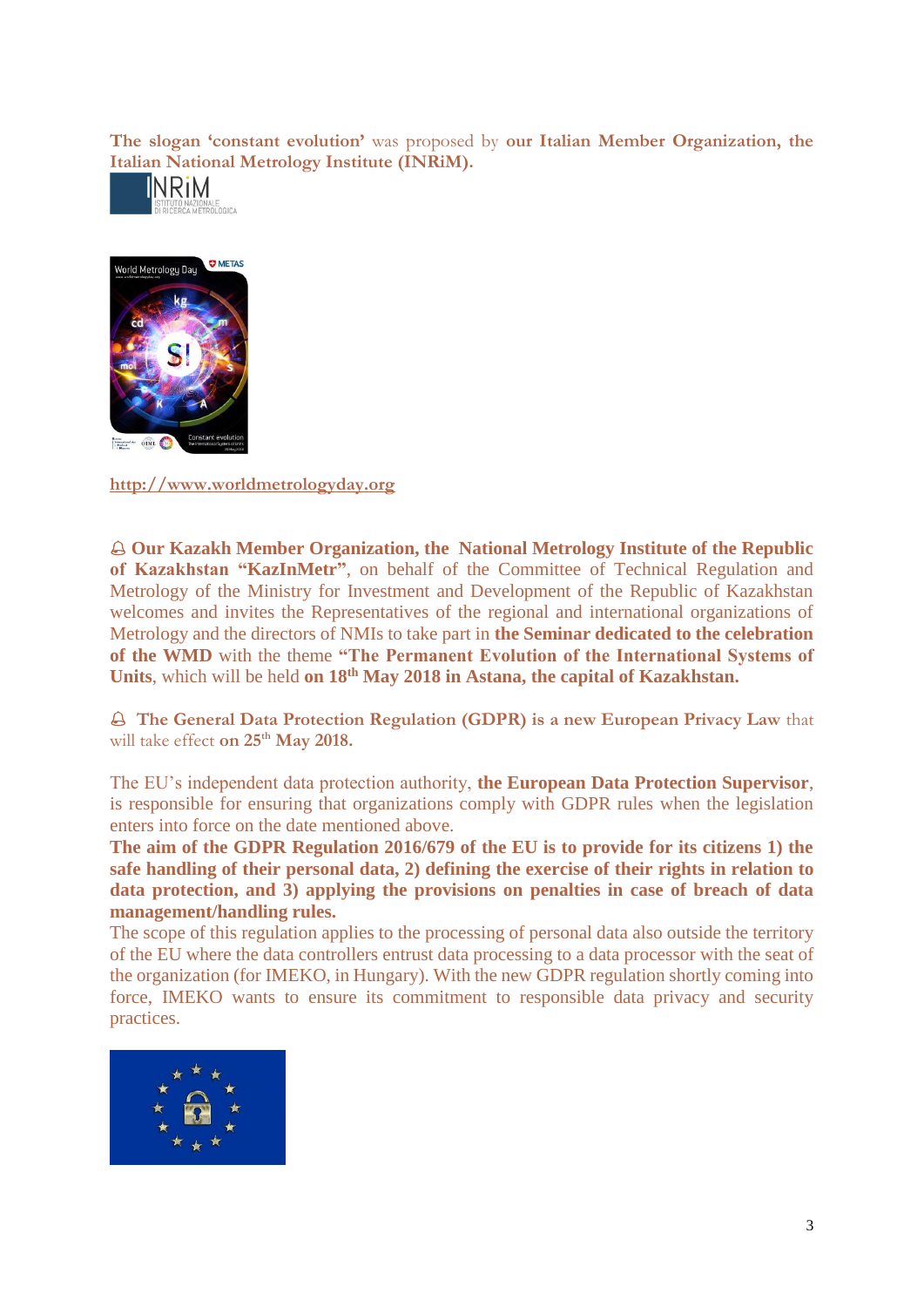**The slogan 'constant evolution'** was proposed by **our Italian Member Organization, the [Italian National](https://www.inrim.it/) Metrology Institute (INRiM).**





**[http://www.worldmetrologyday.org](http://www.worldmetrologyday.org/)**

 **Our Kazakh Member Organization, the National Metrology Institute of the Republic of Kazakhstan "KazInMetr"**, on behalf of the Committee of Technical Regulation and Metrology of the Ministry for Investment and Development of the Republic of Kazakhstan welcomes and invites the Representatives of the regional and international organizations of Metrology and the directors of NMIs to take part in **the Seminar dedicated to the celebration of the WMD** with the theme **"The Permanent Evolution of the International Systems of Units**, which will be held **on 18th May 2018 in Astana, the capital of Kazakhstan.**

 **The General Data Protection Regulation (GDPR) is a new European Privacy Law** that will take effect **on 25th May 2018.** 

The EU's independent data protection authority, **the European Data Protection Supervisor**, is responsible for ensuring that organizations comply with GDPR rules when the legislation enters into force on the date mentioned above.

**The aim of the GDPR Regulation 2016/679 of the EU is to provide for its citizens 1) the safe handling of their personal data, 2) defining the exercise of their rights in relation to data protection, and 3) applying the provisions on penalties in case of breach of data management/handling rules.**

The scope of this regulation applies to the processing of personal data also outside the territory of the EU where the data controllers entrust data processing to a data processor with the seat of the organization (for IMEKO, in Hungary). With the new GDPR regulation shortly coming into force, IMEKO wants to ensure its commitment to responsible data privacy and security practices.

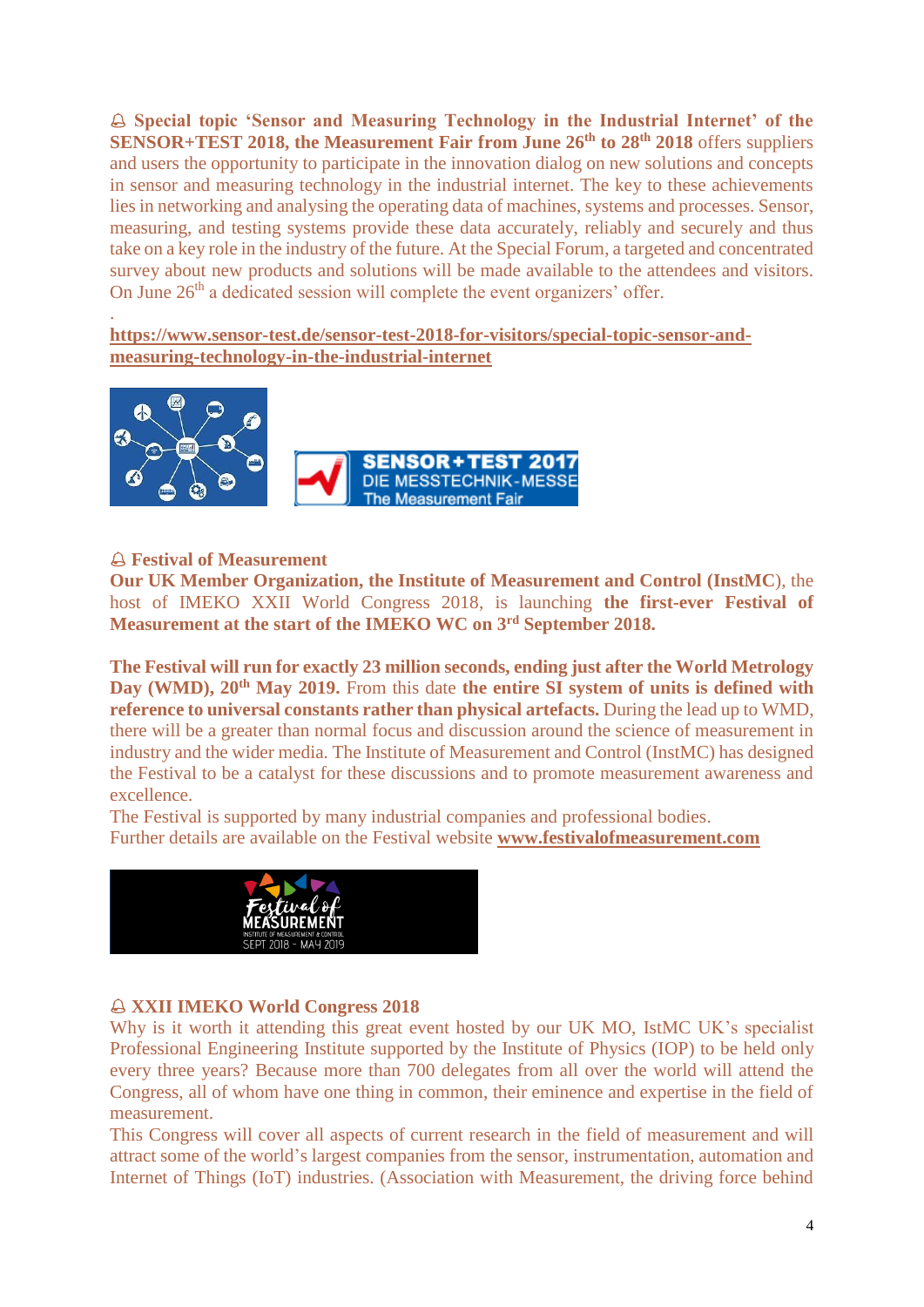**Special topic 'Sensor and Measuring Technology in the Industrial Internet' of the SENSOR+TEST 2018, the Measurement Fair from June 26th to 28th 2018** offers suppliers and users the opportunity to participate in the innovation dialog on new solutions and concepts in sensor and measuring technology in the industrial internet. The key to these achievements lies in networking and analysing the operating data of machines, systems and processes. Sensor, measuring, and testing systems provide these data accurately, reliably and securely and thus take on a key role in the industry of the future. At the Special Forum, a targeted and concentrated survey about new products and solutions will be made available to the attendees and visitors. On June 26<sup>th</sup> a dedicated session will complete the event organizers' offer.

**[https://www.sensor-test.de/sensor-test-2018-for-visitors/special-topic-sensor-and](https://www.sensor-test.de/sensor-test-2018-for-visitors/special-topic-sensor-and-measuring-technology-in-the-industrial-internet/)[measuring-technology-in-the-industrial-internet](https://www.sensor-test.de/sensor-test-2018-for-visitors/special-topic-sensor-and-measuring-technology-in-the-industrial-internet/)**



### **Festival of Measurement**

.

**Our UK Member Organization, the Institute of Measurement and Control (InstMC**), the host of IMEKO XXII World Congress 2018, is launching **the first-ever Festival of Measurement at the start of the IMEKO WC on 3rd September 2018.**

**The Festival will run for exactly 23 million seconds, ending just after the World Metrology Day (WMD), 20th May 2019.** From this date **the entire SI system of units is defined with reference to universal constants rather than physical artefacts.** During the lead up to WMD, there will be a greater than normal focus and discussion around the science of measurement in industry and the wider media. The Institute of Measurement and Control (InstMC) has designed the Festival to be a catalyst for these discussions and to promote measurement awareness and excellence.

The Festival is supported by many industrial companies and professional bodies. Further details are available on the Festival website **[www.festivalofmeasurement.com](http://www.festivalofmeasurement.com/)**



#### **XXII IMEKO World Congress 2018**

Why is it worth it attending this great event hosted by our UK MO, IstMC UK's specialist Professional Engineering Institute supported by the Institute of Physics (IOP) to be held only every three years? Because more than 700 delegates from all over the world will attend the Congress, all of whom have one thing in common, their eminence and expertise in the field of measurement.

This Congress will cover all aspects of current research in the field of measurement and will attract some of the world's largest companies from the sensor, instrumentation, automation and Internet of Things (IoT) industries. (Association with Measurement, the driving force behind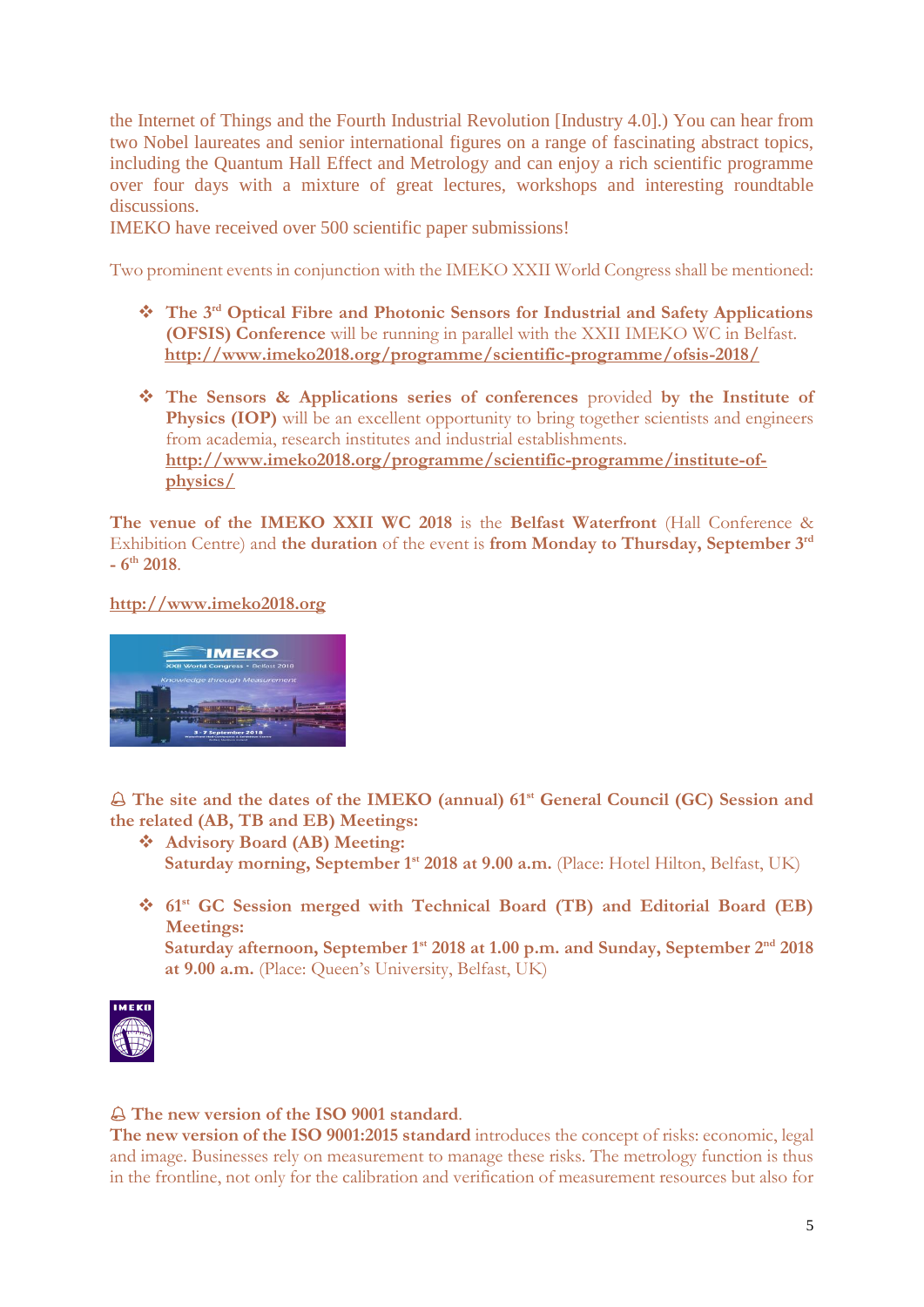the Internet of Things and the Fourth Industrial Revolution [Industry 4.0].) You can hear from two Nobel laureates and senior international figures on a range of fascinating abstract topics, including the Quantum Hall Effect and Metrology and can enjoy a rich scientific programme over four days with a mixture of great lectures, workshops and interesting roundtable discussions.

IMEKO have received over 500 scientific paper submissions!

Two prominent events in conjunction with the IMEKO XXII World Congress shall be mentioned:

- **The 3rd Optical Fibre and Photonic Sensors for Industrial and Safety Applications (OFSIS) Conference** will be running in parallel with the XXII IMEKO WC in Belfast. **<http://www.imeko2018.org/programme/scientific-programme/ofsis-2018/>**
- **The Sensors & Applications series of conferences** provided **by the Institute of Physics (IOP)** will be an excellent opportunity to bring together scientists and engineers from academia, research institutes and industrial establishments. **[http://www.imeko2018.org/programme/scientific-programme/institute-of](http://www.imeko2018.org/programme/scientific-programme/institute-of-physics/)[physics/](http://www.imeko2018.org/programme/scientific-programme/institute-of-physics/)**

**The venue of the IMEKO XXII WC 2018** is the **Belfast Waterfront** (Hall Conference & Exhibition Centre) and **the duration** of the event is **from Monday to Thursday, September 3rd - 6 th 2018**.

**[http://www.imeko2018.org](http://www.imeko2018.org/)**



 **The site and the dates of the IMEKO (annual) 61st General Council (GC) Session and the related (AB, TB and EB) Meetings:**

- **Advisory Board (AB) Meeting: Saturday morning, September 1st 2018 at 9.00 a.m.** (Place: Hotel Hilton, Belfast, UK)
- **61st GC Session merged with Technical Board (TB) and Editorial Board (EB) Meetings:**

**Saturday afternoon, September 1st 2018 at 1.00 p.m. and Sunday, September 2nd 2018 at 9.00 a.m.** (Place: Queen's University, Belfast, UK)



### **The new version of the ISO 9001 standard**.

**The new version of the ISO 9001:2015 standard** introduces the concept of risks: economic, legal and image. Businesses rely on measurement to manage these risks. The metrology function is thus in the frontline, not only for the calibration and verification of measurement resources but also for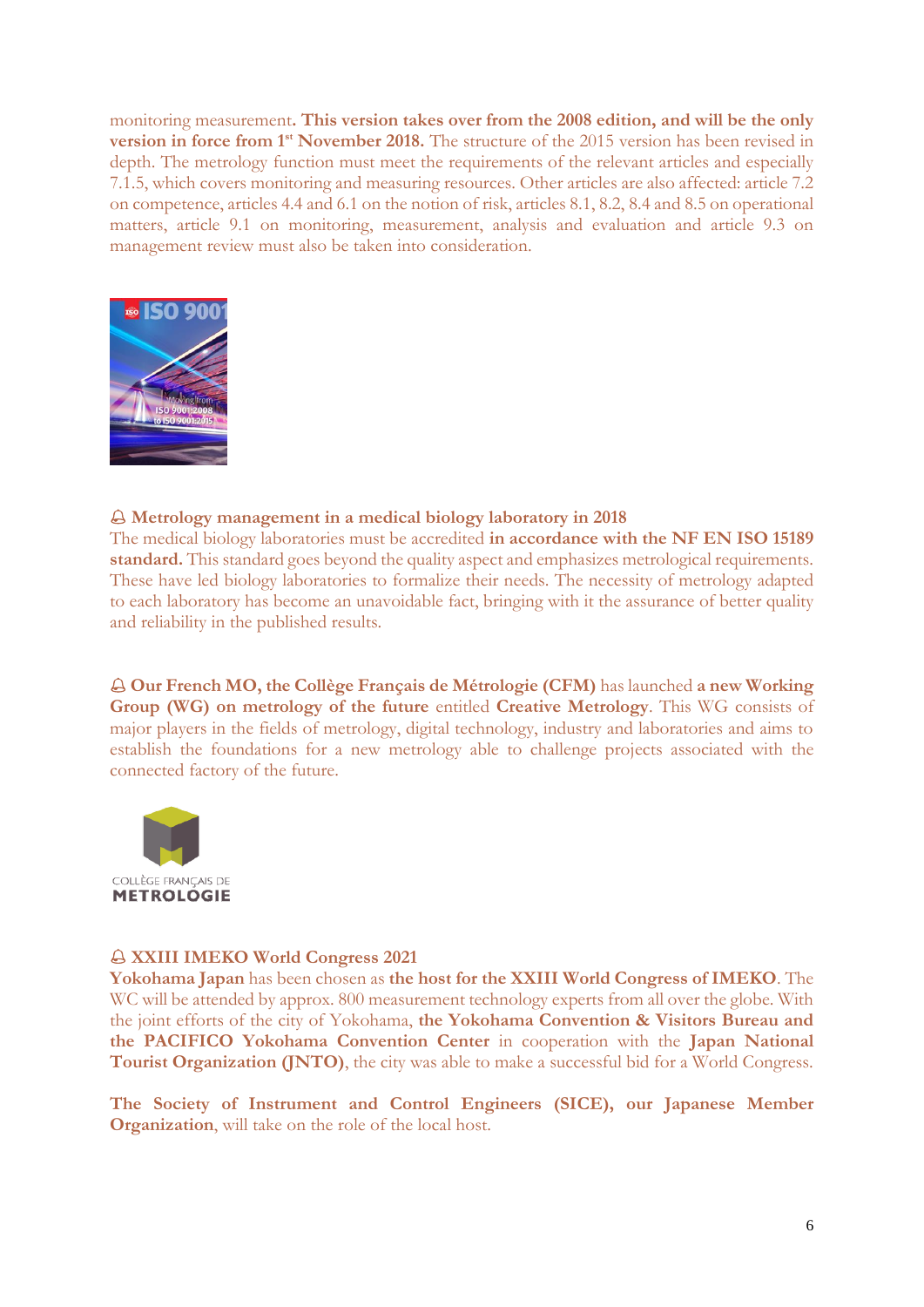monitoring measurement**. This version takes over from the 2008 edition, and will be the only version in force from 1st November 2018.** The structure of the 2015 version has been revised in depth. The metrology function must meet the requirements of the relevant articles and especially 7.1.5, which covers monitoring and measuring resources. Other articles are also affected: article 7.2 on competence, articles 4.4 and 6.1 on the notion of risk, articles 8.1, 8.2, 8.4 and 8.5 on operational matters, article 9.1 on monitoring, measurement, analysis and evaluation and article 9.3 on management review must also be taken into consideration.



#### **Metrology management in a medical biology laboratory in 2018**

The medical biology laboratories must be accredited **in accordance with the NF EN ISO 15189 standard.** This standard goes beyond the quality aspect and emphasizes metrological requirements. These have led biology laboratories to formalize their needs. The necessity of metrology adapted to each laboratory has become an unavoidable fact, bringing with it the assurance of better quality and reliability in the published results.

 **Our French MO, the Collège Français de Métrologie (CFM)** has launched **a new Working Group (WG) on metrology of the future** entitled **Creative Metrology**. This WG consists of major players in the fields of metrology, digital technology, industry and laboratories and aims to establish the foundations for a new metrology able to challenge projects associated with the connected factory of the future.



#### **XXIII IMEKO World Congress 2021**

**Yokohama Japan** has been chosen as **the host for the XXIII World Congress of IMEKO**. The WC will be attended by approx. 800 measurement technology experts from all over the globe. With the joint efforts of the city of Yokohama, **the Yokohama Convention & Visitors Bureau and the PACIFICO Yokohama Convention Center** in cooperation with the **Japan National Tourist Organization (JNTO)**, the city was able to make a successful bid for a World Congress.

**The Society of Instrument and Control Engineers (SICE), our Japanese Member Organization**, will take on the role of the local host.